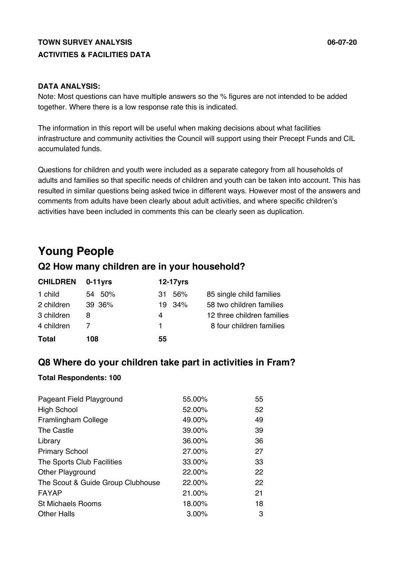### **TOWN SURVEY ANALYSIS 06-07-20 ACTIVITIES & FACILITIES DATA**

#### **DATA ANALYSIS:**

Note: Most questions can have multiple answers so the % figures are not intended to be added together. Where there is a low response rate this is indicated.

The information in this report will be useful when making decisions about what facilities infrastructure and community activities the Council will support using their Precept Funds and CIL accumulated funds.

Questions for children and youth were included as a separate category from all households of adults and families so that specific needs of children and youth can be taken into account. This has resulted in similar questions being asked twice in different ways. However most of the answers and comments from adults have been clearly about adult activities, and where specific children's activities have been included in comments this can be clearly seen as duplication.

# **Young People**

### **Q2 How many children are in your household?**

| <b>CHILDREN</b> | 0-11yrs | 12-17yrs   |                            |
|-----------------|---------|------------|----------------------------|
| 1 child         | 54 50%  | 56%<br>31. | 85 single child families   |
| 2 children      | 39 36%  | 19 34%     | 58 two children families   |
| 3 children      | 8       | 4          | 12 three children families |
| 4 children      |         | 1.         | 8 four children families   |
| <b>Total</b>    | 108     | 55         |                            |

### **Q8 Where do your children take part in activities in Fram?**

#### **Total Respondents: 100**

| Pageant Field Playground          | 55.00% | 55 |
|-----------------------------------|--------|----|
| <b>High School</b>                | 52.00% | 52 |
| Framlingham College               | 49.00% | 49 |
| The Castle                        | 39.00% | 39 |
| Library                           | 36.00% | 36 |
| <b>Primary School</b>             | 27.00% | 27 |
| The Sports Club Facilities        | 33.00% | 33 |
| <b>Other Playground</b>           | 22.00% | 22 |
| The Scout & Guide Group Clubhouse | 22.00% | 22 |
| FAYAP                             | 21.00% | 21 |
| <b>St Michaels Rooms</b>          | 18.00% | 18 |
| <b>Other Halls</b>                | 3.00%  | 3  |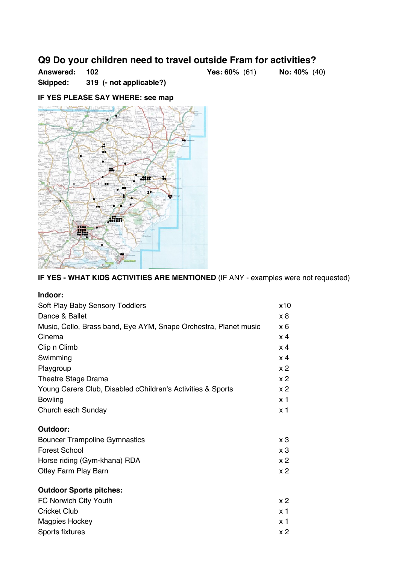### **Q9 Do your children need to travel outside Fram for activities?**

**Answered: 102 Yes: 60%** (61) **No: 40%** (40)

**Skipped: 319 (- not applicable?)** 

#### **IF YES PLEASE SAY WHERE: see map**



**IF YES - WHAT KIDS ACTIVITIES ARE MENTIONED** (IF ANY - examples were not requested)

| Indoor:                                                          |                |
|------------------------------------------------------------------|----------------|
| Soft Play Baby Sensory Toddlers                                  | x10            |
| Dance & Ballet                                                   | x 8            |
| Music, Cello, Brass band, Eye AYM, Snape Orchestra, Planet music | x 6            |
| Cinema                                                           | $\times$ 4     |
| Clip n Climb                                                     | $\times$ 4     |
| Swimming                                                         | x <sub>4</sub> |
| Playgroup                                                        | x <sub>2</sub> |
| <b>Theatre Stage Drama</b>                                       | x <sub>2</sub> |
| Young Carers Club, Disabled cChildren's Activities & Sports      | x <sub>2</sub> |
| <b>Bowling</b>                                                   | x <sub>1</sub> |
| Church each Sunday                                               | x 1            |
| Outdoor:                                                         |                |
| <b>Bouncer Trampoline Gymnastics</b>                             | $\times 3$     |
| <b>Forest School</b>                                             | x <sub>3</sub> |
| Horse riding (Gym-khana) RDA                                     | x <sub>2</sub> |
| <b>Otley Farm Play Barn</b>                                      | x <sub>2</sub> |
| <b>Outdoor Sports pitches:</b>                                   |                |
| FC Norwich City Youth                                            | x <sub>2</sub> |
| <b>Cricket Club</b>                                              | x <sub>1</sub> |
| <b>Magpies Hockey</b>                                            | x 1            |
| Sports fixtures                                                  | x <sub>2</sub> |
|                                                                  |                |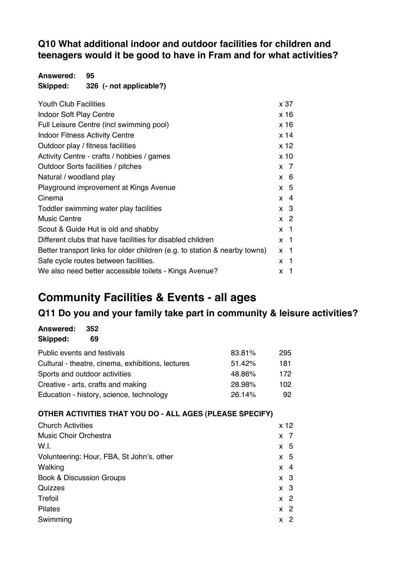### **Q10 What additional indoor and outdoor facilities for children and teenagers would it be good to have in Fram and for what activities?**

**Answered: 95 Skipped: 326 (- not applicable?)**

| <b>Youth Club Facilities</b>                                               | x 37             |
|----------------------------------------------------------------------------|------------------|
| <b>Indoor Soft Play Centre</b>                                             | x 16             |
| Full Leisure Centre (incl swimming pool)                                   | x 16             |
| <b>Indoor Fitness Activity Centre</b>                                      | x 14             |
| Outdoor play / fitness facilities                                          | x <sub>12</sub>  |
| Activity Centre - crafts / hobbies / games                                 | x <sub>10</sub>  |
| Outdoor Sorts facilities / pitches                                         | $x \overline{7}$ |
| Natural / woodland play                                                    | $x \quad 6$      |
| Playground improvement at Kings Avenue                                     | $x \quad 5$      |
| Cinema                                                                     | $x \quad 4$      |
| Toddler swimming water play facilities                                     | $x \quad 3$      |
| <b>Music Centre</b>                                                        | $x \, 2$         |
| Scout & Guide Hut is old and shabby                                        | $x \neq 1$       |
| Different clubs that have facilities for disabled children                 | $x \neq 1$       |
| Better transport links for older children (e.g. to station & nearby towns) | $x \neq 1$       |
| Safe cycle routes between facilities.                                      | $x \neq 1$       |
| We also need better accessible toilets - Kings Avenue?                     | x 1              |

# **Community Facilities & Events - all ages**

## **Q11 Do you and your family take part in community & leisure activities?**

| 83.81%                                                                                                                                                                                              | 295 |
|-----------------------------------------------------------------------------------------------------------------------------------------------------------------------------------------------------|-----|
| 51.42%                                                                                                                                                                                              | 181 |
| 48.86%                                                                                                                                                                                              | 172 |
| 28.98%                                                                                                                                                                                              | 102 |
| 26.14%                                                                                                                                                                                              | 92  |
| Public events and festivals<br>Cultural - theatre, cinema, exhibitions, lectures<br>Sports and outdoor activities<br>Creative - arts, crafts and making<br>Education - history, science, technology |     |

### **OTHER ACTIVITIES THAT YOU DO - ALL AGES (PLEASE SPECIFY)**

| <b>Church Activities</b>                  | x <sub>12</sub>     |
|-------------------------------------------|---------------------|
| <b>Music Choir Orchestra</b>              | $x \overline{7}$    |
| W.I.                                      | -5<br>X             |
| Volunteering: Hour, FBA, St John's, other | $x \quad 5$         |
| Walking                                   | -4<br>X             |
| <b>Book &amp; Discussion Groups</b>       | $x \quad 3$         |
| Quizzes                                   | x <sub>3</sub>      |
| Trefoil                                   | $x \, 2$            |
| <b>Pilates</b>                            | $\overline{2}$<br>X |
| Swimming                                  | 2<br>X              |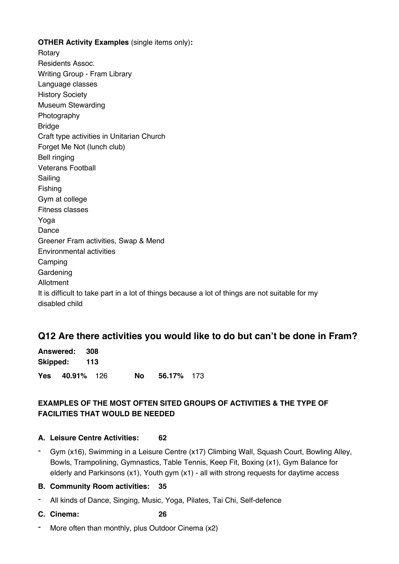#### **OTHER Activity Examples** (single items only)**:**

Rotary Residents Assoc. Writing Group - Fram Library Language classes History Society Museum Stewarding Photography Bridge Craft type activities in Unitarian Church Forget Me Not (lunch club) Bell ringing Veterans Football Sailing Fishing Gym at college Fitness classes Yoga Dance Greener Fram activities, Swap & Mend Environmental activities Camping Gardening Allotment It is difficult to take part in a lot of things because a lot of things are not suitable for my disabled child

### **Q12 Are there activities you would like to do but can't be done in Fram?**

| Answered: 308         |      |            |  |
|-----------------------|------|------------|--|
| Skipped: 113          |      |            |  |
| <b>Yes 40.91%</b> 126 | No l | 56.17% 173 |  |

### **EXAMPLES OF THE MOST OFTEN SITED GROUPS OF ACTIVITIES & THE TYPE OF FACILITIES THAT WOULD BE NEEDED**

#### **A. Leisure Centre Activities: 62**

- Gym (x16), Swimming in a Leisure Centre (x17) Climbing Wall, Squash Court, Bowling Alley, Bowls, Trampolining, Gymnastics, Table Tennis, Keep Fit, Boxing (x1), Gym Balance for elderly and Parkinsons (x1), Youth gym (x1) - all with strong requests for daytime access

#### **B. Community Room activities: 35**

- All kinds of Dance, Singing, Music, Yoga, Pilates, Tai Chi, Self-defence
- **C. Cinema: 26**
- More often than monthly, plus Outdoor Cinema (x2)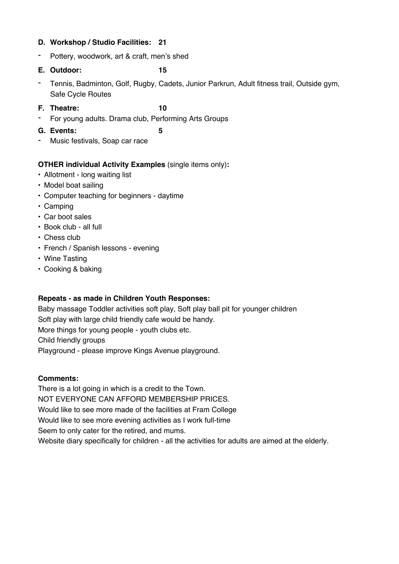#### **D. Workshop / Studio Facilities: 21**

- Pottery, woodwork, art & craft, men's shed
- **E. Outdoor: 15**
- Tennis, Badminton, Golf, Rugby, Cadets, Junior Parkrun, Adult fitness trail, Outside gym, Safe Cycle Routes
- **F. Theatre: 10**
- For young adults. Drama club, Performing Arts Groups
- **G. Events: 5**
- Music festivals, Soap car race

#### **OTHER individual Activity Examples** (single items only)**:**

- Allotment long waiting list
- Model boat sailing
- Computer teaching for beginners daytime
- Camping
- Car boot sales
- Book club all full
- Chess club
- French / Spanish lessons evening
- Wine Tasting
- Cooking & baking

#### **Repeats - as made in Children Youth Responses:**

Baby massage Toddler activities soft play, Soft play ball pit for younger children Soft play with large child friendly cafe would be handy. More things for young people - youth clubs etc. Child friendly groups Playground - please improve Kings Avenue playground.

#### **Comments:**

There is a lot going in which is a credit to the Town. NOT EVERYONE CAN AFFORD MEMBERSHIP PRICES. Would like to see more made of the facilities at Fram College Would like to see more evening activities as I work full-time Seem to only cater for the retired, and mums. Website diary specifically for children - all the activities for adults are aimed at the elderly.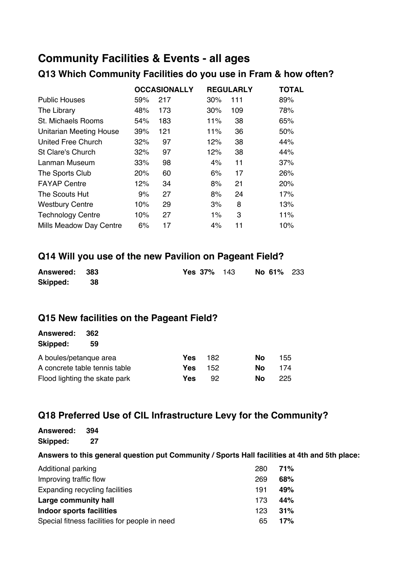# **Community Facilities & Events - all ages**

### **Q13 Which Community Facilities do you use in Fram & how often?**

|                                | <b>OCCASIONALLY</b> |     |       | <b>REGULARLY</b> | <b>TOTAL</b> |  |
|--------------------------------|---------------------|-----|-------|------------------|--------------|--|
| <b>Public Houses</b>           | 59%                 | 217 | 30%   | 111              | 89%          |  |
| The Library                    | 48%                 | 173 | 30%   | 109              | 78%          |  |
| St. Michaels Rooms             | 54%                 | 183 | 11%   | 38               | 65%          |  |
| <b>Unitarian Meeting House</b> | 39%                 | 121 | 11%   | 36               | 50%          |  |
| <b>United Free Church</b>      | 32%                 | 97  | 12%   | 38               | 44%          |  |
| St Clare's Church              | 32%                 | 97  | 12%   | 38               | 44%          |  |
| Lanman Museum                  | 33%                 | 98  | 4%    | 11               | 37%          |  |
| The Sports Club                | 20%                 | 60  | 6%    | 17               | 26%          |  |
| <b>FAYAP Centre</b>            | 12%                 | 34  | 8%    | 21               | 20%          |  |
| The Scouts Hut                 | 9%                  | 27  | 8%    | 24               | 17%          |  |
| <b>Westbury Centre</b>         | 10%                 | 29  | 3%    | 8                | 13%          |  |
| <b>Technology Centre</b>       | 10%                 | 27  | $1\%$ | 3                | 11%          |  |
| Mills Meadow Day Centre        | 6%                  | 17  | 4%    | 11               | 10%          |  |

### **Q14 Will you use of the new Pavilion on Pageant Field?**

| Answered: 383 |  | <b>Yes 37%</b> 143 |  | No 61% 233 |  |
|---------------|--|--------------------|--|------------|--|
| Skipped: 38   |  |                    |  |            |  |

### **Q15 New facilities on the Pageant Field?**

| <b>Answered:</b><br>362       |     |     |           |      |
|-------------------------------|-----|-----|-----------|------|
| Skipped:<br>59                |     |     |           |      |
| A boules/petangue area        | Yes | 182 | <b>No</b> | 155. |
| A concrete table tennis table | Yes | 152 | Nο        | 174  |
| Flood lighting the skate park | Yes | 92  | Nο        | 225. |

### **Q18 Preferred Use of CIL Infrastructure Levy for the Community?**

#### **Answered: 394 Skipped: 27**

#### **Answers to this general question put Community / Sports Hall facilities at 4th and 5th place:**

| Additional parking                            | 280 | 71% |
|-----------------------------------------------|-----|-----|
| Improving traffic flow                        | 269 | 68% |
| Expanding recycling facilities                | 191 | 49% |
| Large community hall                          | 173 | 44% |
| <b>Indoor sports facilities</b>               | 123 | 31% |
| Special fitness facilities for people in need | 65  | 17% |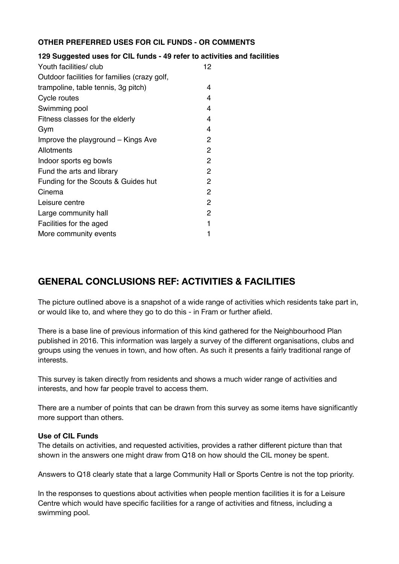#### **OTHER PREFERRED USES FOR CIL FUNDS - OR COMMENTS**

#### **129 Suggested uses for CIL funds - 49 refer to activities and facilities**

| Youth facilities/ club                       | 12             |
|----------------------------------------------|----------------|
| Outdoor facilities for families (crazy golf, |                |
| trampoline, table tennis, 3g pitch)          | 4              |
| Cycle routes                                 | 4              |
| Swimming pool                                | 4              |
| Fitness classes for the elderly              | 4              |
| Gym                                          | 4              |
| Improve the playground – Kings Ave           | 2              |
| Allotments                                   | 2              |
| Indoor sports eg bowls                       | $\overline{2}$ |
| Fund the arts and library                    | $\overline{c}$ |
| Funding for the Scouts & Guides hut          | 2              |
| Cinema                                       | 2              |
| Leisure centre                               | $\overline{2}$ |
| Large community hall                         | $\overline{2}$ |
| Facilities for the aged                      | 1              |
| More community events                        |                |

## **GENERAL CONCLUSIONS REF: ACTIVITIES & FACILITIES**

The picture outlined above is a snapshot of a wide range of activities which residents take part in, or would like to, and where they go to do this - in Fram or further afield.

There is a base line of previous information of this kind gathered for the Neighbourhood Plan published in 2016. This information was largely a survey of the different organisations, clubs and groups using the venues in town, and how often. As such it presents a fairly traditional range of interests.

This survey is taken directly from residents and shows a much wider range of activities and interests, and how far people travel to access them.

There are a number of points that can be drawn from this survey as some items have significantly more support than others.

#### **Use of CIL Funds**

The details on activities, and requested activities, provides a rather different picture than that shown in the answers one might draw from Q18 on how should the CIL money be spent.

Answers to Q18 clearly state that a large Community Hall or Sports Centre is not the top priority.

In the responses to questions about activities when people mention facilities it is for a Leisure Centre which would have specific facilities for a range of activities and fitness, including a swimming pool.